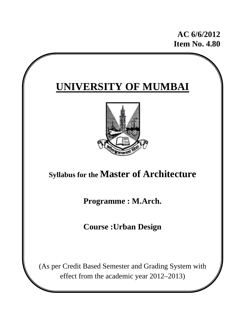**AC 6/6/2012 Item No. 4.80** 

# **UNIVERSITY OF MUMBAI**



# **Syllabus for the Master of Architecture**

**Programme : M.Arch.** 

**Course :Urban Design**

(As per Credit Based Semester and Grading System with effect from the academic year 2012–2013)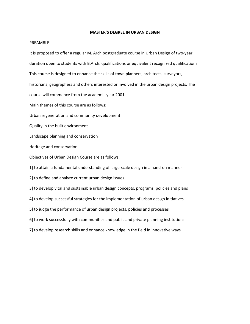#### **MASTER'S DEGREE IN URBAN DESIGN**

#### PREAMBLE

It is proposed to offer a regular M. Arch postgraduate course in Urban Design of two‐year duration open to students with B.Arch. qualifications or equivalent recognized qualifications. This course is designed to enhance the skills of town planners, architects, surveyors, historians, geographers and others interested or involved in the urban design projects. The course will commence from the academic year 2001. Main themes of this course are as follows: Urban regeneration and community development Quality in the built environment Landscape planning and conservation Heritage and conservation Objectives of Urban Design Course are as follows: 1] to attain a fundamental understanding of large‐scale design in a hand‐on manner 2] to define and analyze current urban design issues. 3] to develop vital and sustainable urban design concepts, programs, policies and plans 4] to develop successful strategies for the implementation of urban design initiatives 5] to judge the performance of urban design projects, policies and processes 6] to work successfully with communities and public and private planning institutions 7] to develop research skills and enhance knowledge in the field in innovative ways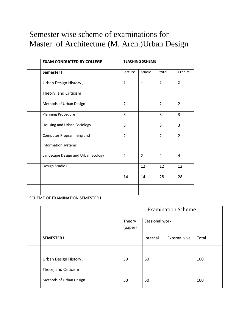# Semester wise scheme of examinations for Master of Architecture (M. Arch.)Urban Design

| <b>EXAM CONDUCTED BY COLLEGE</b>   | <b>TEACHING SCHEME</b> |                |                |                |  |
|------------------------------------|------------------------|----------------|----------------|----------------|--|
| Semester I                         | lecture                | Studio         | total          | Credits        |  |
| Urban Design History,              | $\overline{2}$         | $-$            | $\overline{2}$ | $\overline{2}$ |  |
| Theory, and Criticism              |                        |                |                |                |  |
| Methods of Urban Design            | $\overline{2}$         |                | $\overline{2}$ | $\overline{2}$ |  |
| Planning Procedure                 | 3                      |                | 3              | $\overline{3}$ |  |
| Housing and Urban Sociology        | 3                      |                | 3              | $\overline{3}$ |  |
| Computer Programming and           | $\overline{2}$         |                | $\overline{2}$ | $\overline{2}$ |  |
| Information systems                |                        |                |                |                |  |
| Landscape Design and Urban Ecology | $\overline{2}$         | $\overline{2}$ | $\overline{4}$ | $\overline{4}$ |  |
| Design Studio I                    |                        | 12             | 12             | 12             |  |
|                                    | 14                     | 14             | 28             | 28             |  |
|                                    |                        |                |                |                |  |

SCHEME OF EXAMINATION SEMESTER I

|                         | <b>Examination Scheme</b> |                |               |       |  |  |
|-------------------------|---------------------------|----------------|---------------|-------|--|--|
|                         | Theory<br>(paper)         | Sessional work |               |       |  |  |
| <b>SEMESTER I</b>       |                           | Internal       | External viva | Total |  |  |
|                         |                           |                |               |       |  |  |
| Urban Design History,   | 50                        | 50             |               | 100   |  |  |
| Theor, and Criticism    |                           |                |               |       |  |  |
| Methods of Urban Design | 50                        | 50             |               | 100   |  |  |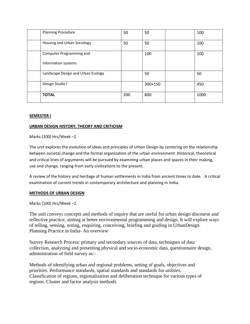| <b>Planning Procedure</b>          | 50  | 50      | 100  |
|------------------------------------|-----|---------|------|
| Housing and Urban Sociology        | 50  | 50      | 100  |
| Computer Programming and           |     | 100     | 100  |
| Information systems                |     |         |      |
| Landscape Design and Urban Ecology |     | 50      | 50   |
| Design Studio I                    |     | 300+150 | 450  |
| <b>TOTAL</b>                       | 200 | 800     | 1000 |

# **SEMESTER I**

# **URBAN DESIGN HISTORY, THEORY AND CRITICISM**

### Marks (100) Hrs/Week –2

The unit explores the evolution of ideas and principles of Urban Design by centering on the relationship between societal change and the formal organization of the urban environment .Historical, theoretical and critical lines of arguments will be pursued by examining urban places and spaces in their making, use and change, ranging from early civilizations to the present.

A review of the history and heritage of human settlements in India from ancient times to date. A critical examination of current trends in contemporary architecture and planning in India.

#### **METHODS OF URBAN DESIGN**

Marks (100) Hrs/Week –2

The unit conveys concepts and methods of inquiry that are useful for urban design discourse and reflective practice, aiming at better environmental programming and design. It will explore ways of telling, sensing, noting, enquiring, conceiving, briefing and guiding in UrbanDesign. Planning Practice in India- An overview

Survey Research Process: primary and secondary sources of data, techniques of data collection, analyzing and presenting physical and socio-economic data, questionnaire design, administration of field survey as:-

Methods of identifying urban and regional problems, setting of goals, objectives and priorities. Performance standards, spatial standards and standards for utilities. Classification of regions, regionalization and deliberation technique for various types of regions. Cluster and factor analysis methods.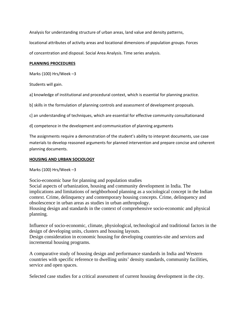Analysis for understanding structure of urban areas, land value and density patterns,

locational attributes of activity areas and locational dimensions of population groups. Forces

of concentration and disposal. Social Area Analysis. Time series analysis.

#### **PLANNING PROCEDURES**

Marks (100) Hrs/Week –3

Students will gain.

a] knowledge of institutional and procedural context, which is essential for planning practice.

b] skills in the formulation of planning controls and assessment of development proposals.

c] an understanding of techniques, which are essential for effective community consultationand

d] competence in the development and communication of planning arguments

The assignments require a demonstration of the student's ability to interpret documents, use case materials to develop reasoned arguments for planned intervention and prepare concise and coherent planning documents.

#### **HOUSING AND URBAN SOCIOLOGY**

Marks (100) Hrs/Week –3

Socio-economic base for planning and population studies

Social aspects of urbanization, housing and community development in India. The implications and limitations of neighborhood planning as a sociological concept in the Indian context. Crime, delinquency and contemporary housing concepts. Crime, delinquency and obsolescence in urban areas as studies in urban anthropology.

Housing design and standards in the context of comprehensive socio-economic and physical planning.

Influence of socio-economic, climate, physiological, technological and traditional factors in the design of developing units, clusters and housing layouts.

Design consideration in economic housing for developing countries-site and services and incremental housing programs.

A comparative study of housing design and performance standards in India and Western countries with specific reference to dwelling units' density standards, community facilities, service and open spaces.

Selected case studies for a critical assessment of current housing development in the city.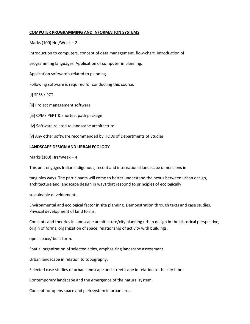### **COMPUTER PROGRAMMING AND INFORMATION SYSTEMS**

Marks (100) Hrs/Week  $-2$ 

Introduction to computers, concept of data management, flow‐chart, introduction of

programming languages. Application of computer in planning.

Application software's related to planning.

Following software is required for conducting this course.

[i] SPSS / PCT

[ii] Project management software

[iii] CPM/ PERT & shortest path package

[iv] Software related to landscape architecture

[v] Any other software recommended by HODs of Departments of Studies

#### **LANDSCAPE DESIGN AND URBAN ECOLOGY**

Marks (100) Hrs/Week  $-4$ 

This unit engages Indian indigenous, recent and international landscape dimensions in

tangibles ways. The participants will come to better understand the nexus between urban design, architecture and landscape design in ways that respond to principles of ecologically

sustainable development.

Environmental and ecological factor in site planning. Demonstration through texts and case studies. Physical development of land forms.

Concepts and theories in landscape architecture/city planning urban design in the historical perspective, origin of forms, organization of space, relationship of activity with buildings,

open space/ built form.

Spatial organization of selected cities, emphasizing landscape assessment.

Urban landscape in relation to topography.

Selected case studies of urban landscape and streetscape in relation to the city fabric

Contemporary landscape and the emergence of the natural system.

Concept for opens space and park system in urban area.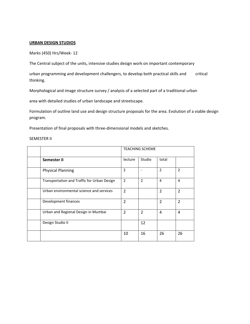#### **URBAN DESIGN STUDIOS**

Marks (450) Hrs/Week‐ 12

The Central subject of the units, intensive studies design work on important contemporary

urban programming and development challengers, to develop both practical skills and critical thinking.

Morphological and image structure survey / analysis of a selected part of a traditional urban

area with detailed studies of urban landscape and streetscape.

Formulation of outline land use and design structure proposals for the area. Evolution of a viable design program.

Presentation of final proposals with three‐dimensional models and sketches.

SEMESTER II

|                                             | <b>TEACHING SCHEME</b> |                |                |                |
|---------------------------------------------|------------------------|----------------|----------------|----------------|
| Semester II                                 | lecture                | Studio         | total          |                |
| <b>Physical Planning</b>                    | $\overline{2}$         |                | 2              | 2              |
| Transportation and Traffic for Urban Design | $\overline{2}$         | $\overline{2}$ | 4              | 4              |
| Urban environmental science and services    | $\overline{2}$         |                | $\overline{2}$ | $\overline{2}$ |
| Development finances                        | $\overline{2}$         |                | $\overline{2}$ | $\overline{2}$ |
| Urban and Regional Design in Mumbai         | $\overline{2}$         | $\overline{2}$ | 4              | 4              |
| Design Studio II                            |                        | 12             |                |                |
|                                             | 10                     | 16             | 26             | 26             |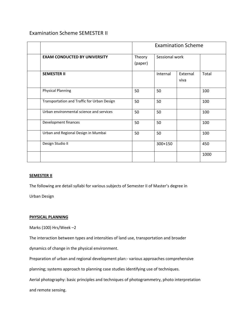# Examination Scheme SEMESTER II

|                                             | <b>Examination Scheme</b> |                |                  |       |  |  |
|---------------------------------------------|---------------------------|----------------|------------------|-------|--|--|
| <b>EXAM CONDUCTED BY UNIVERSITY</b>         | Theory<br>(paper)         | Sessional work |                  |       |  |  |
| <b>SEMESTER II</b>                          |                           | Internal       | External<br>viva | Total |  |  |
| <b>Physical Planning</b>                    | 50                        | 50             |                  | 100   |  |  |
| Transportation and Traffic for Urban Design | 50                        | 50             |                  | 100   |  |  |
| Urban environmental science and services    | 50                        | 50             |                  | 100   |  |  |
| Development finances                        | 50                        | 50             |                  | 100   |  |  |
| Urban and Regional Design in Mumbai         | 50                        | 50             |                  | 100   |  |  |
| Design Studio II                            |                           | 300+150        |                  | 450   |  |  |
|                                             |                           |                |                  | 1000  |  |  |

#### **SEMESTER II**

The following are detail syllabi for various subjects of Semester II of Master's degree in

Urban Design

#### **PHYSICAL PLANNING**

Marks (100) Hrs/Week –2

The interaction between types and intensities of land use, transportation and broader

dynamics of change in the physical environment.

Preparation of urban and regional development plan:‐ various approaches comprehensive

planning; systems approach to planning case studies identifying use of techniques.

Aerial photography: basic principles and techniques of photogrammetry, photo interpretation

and remote sensing.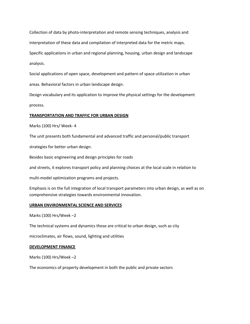Collection of data by photo‐interpretation and remote sensing techniques, analysis and interpretation of these data and compilation of interpreted data for the metric maps. Specific applications in urban and regional planning, housing, urban design and landscape analysis.

Social applications of open space, development and pattern of space utilization in urban areas. Behavioral factors in urban landscape design.

Design vocabulary and its application to improve the physical settings for the development process.

#### **TRANSPORTATION AND TRAFFIC FOR URBAN DESIGN**

Marks (100) Hrs/ Week‐ 4

The unit presents both fundamental and advanced traffic and personal/public transport

strategies for better urban design.

Besides basic engineering and design principles for roads

and streets, it explores transport policy and planning choices at the local scale in relation to

multi‐model optimization programs and projects.

Emphasis is on the full integration of local transport parameters into urban design, as well as on comprehensive strategies towards environmental innovation.

#### **URBAN ENVIRONMENTAL SCIENCE AND SERVICES**

Marks (100) Hrs/Week –2

The technical systems and dynamics those are critical to urban design, such as city

microclimates, air flows, sound, lighting and utilities

#### **DEVELOPMENT FINANCE**

Marks (100) Hrs/Week –2

The economics of property development in both the public and private sectors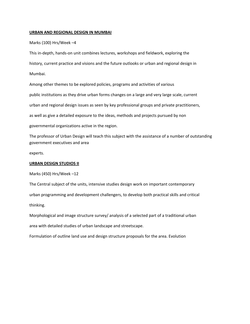#### **URBAN AND REGIONAL DESIGN IN MUMBAI**

#### Marks (100) Hrs/Week –4

This in‐depth, hands‐on unit combines lectures, workshops and fieldwork, exploring the history, current practice and visions and the future outlooks or urban and regional design in Mumbai.

Among other themes to be explored policies, programs and activities of various public institutions as they drive urban forms changes on a large and very large scale, current urban and regional design issues as seen by key professional groups and private practitioners, as well as give a detailed exposure to the ideas, methods and projects pursued by non governmental organizations active in the region.

The professor of Urban Design will teach this subject with the assistance of a number of outstanding government executives and area

experts.

#### **URBAN DESIGN STUDIOS II**

Marks (450) Hrs/Week –12

The Central subject of the units, intensive studies design work on important contemporary urban programming and development challengers, to develop both practical skills and critical thinking.

Morphological and image structure survey/ analysis of a selected part of a traditional urban area with detailed studies of urban landscape and streetscape.

Formulation of outline land use and design structure proposals for the area. Evolution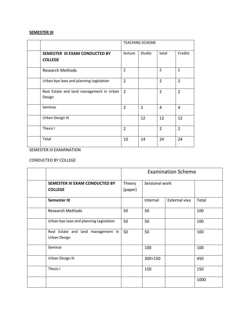# **SEMESTER III**

|                                                    | <b>TEACHING SCHEME</b> |                |                |                |  |
|----------------------------------------------------|------------------------|----------------|----------------|----------------|--|
| SEMESTER III EXAM CONDUCTED BY<br><b>COLLEGE</b>   | lecture                | Studio         | total          | Credits        |  |
| <b>Research Methods</b>                            | $\overline{2}$         |                | $\overline{2}$ | $\overline{2}$ |  |
| Urban bye laws and planning Legislation            | $\overline{2}$         |                | $\overline{2}$ | $\overline{2}$ |  |
| Real Estate and land management in Urban<br>Design | $\overline{2}$         |                | $\overline{2}$ | $\overline{2}$ |  |
| Seminar                                            | $\overline{2}$         | $\overline{2}$ | 4              | 4              |  |
| Urban Design III                                   |                        | 12             | 12             | 12             |  |
| Thesis I                                           | $\overline{2}$         |                | $\overline{2}$ | $\overline{2}$ |  |
| Total                                              | 10                     | 14             | 24             | 24             |  |

# SEMESTER III EXAMINATION

# CONDUCTED BY COLLEGE

|                                                           |         | <b>Examination Scheme</b> |                |       |  |  |  |
|-----------------------------------------------------------|---------|---------------------------|----------------|-------|--|--|--|
| SEMESTER III EXAM CONDUCTED BY                            | Theory  |                           | Sessional work |       |  |  |  |
| <b>COLLEGE</b>                                            | (paper) |                           |                |       |  |  |  |
| Semester III                                              |         | Internal                  | External viva  | Total |  |  |  |
| <b>Research Methods</b>                                   | 50      | 50                        |                | 100   |  |  |  |
| Urban bye laws and planning Legislation                   | 50      | 50                        |                | 100   |  |  |  |
| Real Estate and land management in<br><b>Urban Design</b> | 50      | 50                        |                | 100   |  |  |  |
| Seminar                                                   |         | 100                       |                | 100   |  |  |  |
| Urban Design III                                          |         | 300+150                   |                | 450   |  |  |  |
| Thesis I                                                  |         | 150                       |                | 150   |  |  |  |
|                                                           |         |                           |                | 1000  |  |  |  |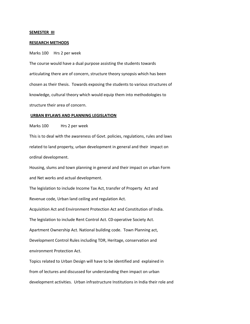#### **SEMESTER III**

#### **RESEARCH METHODS**

Marks 100 Hrs 2 per week

The course would have a dual purpose assisting the students towards articulating there are of concern, structure theory synopsis which has been chosen as their thesis. Towards exposing the students to various structures of knowledge, cultural theory which would equip them into methodologies to structure their area of concern.

#### **URBAN BYLAWS AND PLANNING LEGISLATION**

Marks 100 Hrs 2 per week

This is to deal with the awareness of Govt. policies, regulations, rules and laws related to land property, urban development in general and their impact on ordinal development.

Housing, slums and town planning in general and their impact on urban Form and Net works and actual development.

The legislation to include Income Tax Act, transfer of Property Act and Revenue code, Urban land ceiling and regulation Act.

Acquisition Act and Environment Protection Act and Constitution of India.

The legislation to include Rent Control Act. C0‐operative Society Act.

Apartment Ownership Act. National building code. Town Planning act,

Development Control Rules including TDR, Heritage, conservation and environment Protection Act.

Topics related to Urban Design will have to be identified and explained in from of lectures and discussed for understanding then impact on urban development activities. Urban infrastructure Institutions in India their role and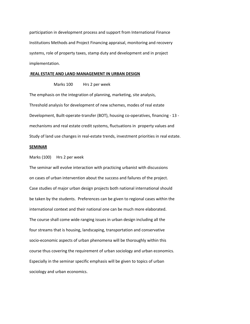participation in development process and support from International Finance Institutions Methods and Project Financing appraisal, monitoring and recovery systems, role of property taxes, stamp duty and development and in project implementation.

#### **REAL ESTATE AND LAND MANAGEMENT IN URBAN DESIGN**

Marks 100 Hrs 2 per week

The emphasis on the integration of planning, marketing, site analysis, Threshold analysis for development of new schemes, modes of real estate Development, Built-operate-transfer (BOT), housing co-operatives, financing - 13 mechanisms and real estate credit systems, fluctuations in property values and Study of land use changes in real‐estate trends, investment priorities in real estate.

#### **SEMINAR**

Marks (100) Hrs 2 per week

The seminar will evolve interaction with practicing urbanist with discussions on cases of urban intervention about the success and failures of the project. Case studies of major urban design projects both national international should be taken by the students. Preferences can be given to regional cases within the international context and their national one can be much more elaborated. The course shall come wide ranging issues in urban design including all the four streams that is housing, landscaping, transportation and conservative socio-economic aspects of urban phenomena will be thoroughly within this course thus covering the requirement of urban sociology and urban economics. Especially in the seminar specific emphasis will be given to topics of urban sociology and urban economics.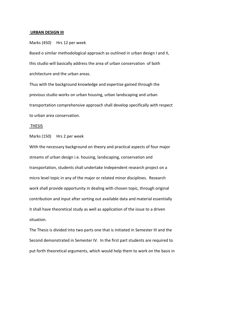#### **URBAN DESIGN III**

Marks (450) Hrs 12 per week

Based o similar methodological approach as outlined in urban design I and II, this studio will basically address the area of urban conservation of both architecture and the urban areas.

Thus with the background knowledge and expertise gained through the previous studio works on urban housing, urban landscaping and urban transportation comprehensive approach shall develop specifically with respect to urban area conservation.

#### THESIS

Marks (150) Hrs 2 per week

With the necessary background on theory and practical aspects of four major streams of urban design i.e. housing, landscaping, conservation and transportation, students shall undertake Independent research project on a micro level topic in any of the major or related minor disciplines. Research work shall provide opportunity in dealing with chosen topic, through original contribution and input after sorting out available data and material essentially it shall have theoretical study as well as application of the issue to a driven situation.

The Thesis is divided into two parts one that is initiated in Semester III and the Second demonstrated in Semester IV. In the first part students are required to put forth theoretical arguments, which would help them to work on the basis in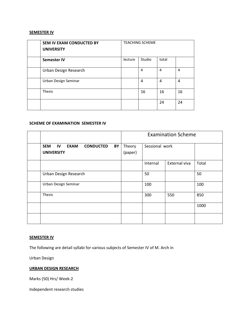# **SEMESTER IV**

| <b>SEM IV EXAM CONDUCTED BY</b><br><b>UNIVERSITY</b> | <b>TEACHING SCHEME</b> |        |       |    |  |
|------------------------------------------------------|------------------------|--------|-------|----|--|
| <b>Semester IV</b>                                   | lecture                | Studio | total |    |  |
| Urban Design Research                                |                        | 4      | 4     | 4  |  |
| Urban Design Seminar                                 |                        | 4      | 4     | 4  |  |
| <b>Thesis</b>                                        |                        | 16     | 16    | 16 |  |
|                                                      |                        |        | 24    | 24 |  |

#### **SCHEME OF EXAMINATION SEMESTER IV**

|                                                                                | <b>Examination Scheme</b> |                |               |       |  |  |
|--------------------------------------------------------------------------------|---------------------------|----------------|---------------|-------|--|--|
| <b>SEM</b><br>IV<br><b>EXAM</b><br><b>CONDUCTED</b><br>BY<br><b>UNIVERSITY</b> | Theory<br>(paper)         | Sessional work |               |       |  |  |
|                                                                                |                           | Internal       | External viva | Total |  |  |
| Urban Design Research                                                          |                           | 50             |               | 50    |  |  |
| Urban Design Seminar                                                           |                           | 100            |               | 100   |  |  |
| Thesis                                                                         |                           | 300            | 550           | 850   |  |  |
|                                                                                |                           |                |               | 1000  |  |  |
|                                                                                |                           |                |               |       |  |  |

# **SEMESTER IV**

The following are detail syllabi for various subjects of Semester IV of M. Arch in

Urban Design

# **URBAN DESIGN RESEARCH**

Marks (50) Hrs/ Week‐2

Independent research studies